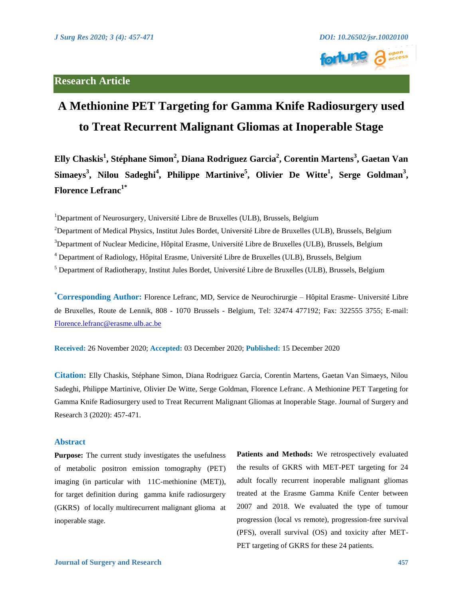## **Research Article**



# **A Methionine PET Targeting for Gamma Knife Radiosurgery used to Treat Recurrent Malignant Gliomas at Inoperable Stage**

**Elly Chaskis<sup>1</sup> , Stéphane Simon<sup>2</sup> , Diana Rodriguez Garcia<sup>2</sup> , Corentin Martens<sup>3</sup> , Gaetan Van Simaeys<sup>3</sup> , Nilou Sadeghi<sup>4</sup> , Philippe Martinive<sup>5</sup> , Olivier De Witte<sup>1</sup> , Serge Goldman<sup>3</sup> , Florence Lefranc1\***

<sup>1</sup>Department of Neurosurgery, Université Libre de Bruxelles (ULB), Brussels, Belgium

<sup>2</sup>Department of Medical Physics, Institut Jules Bordet, Université Libre de Bruxelles (ULB), Brussels, Belgium

<sup>3</sup>Department of Nuclear Medicine, Hôpital Erasme, Université Libre de Bruxelles (ULB), Brussels, Belgium

<sup>4</sup> Department of Radiology, Hôpital Erasme, Université Libre de Bruxelles (ULB), Brussels, Belgium

<sup>5</sup> Department of Radiotherapy, Institut Jules Bordet, Université Libre de Bruxelles (ULB), Brussels, Belgium

**\*Corresponding Author:** Florence Lefranc, MD, Service de Neurochirurgie – Hôpital Erasme- Université Libre de Bruxelles, Route de Lennik, 808 - 1070 Brussels - Belgium, Tel: 32474 477192; Fax: 322555 3755; E-mail: [Florence.lefranc@erasme.ulb.ac.be](mailto:Florence.lefranc@erasme.ulb.ac.be)

**Received:** 26 November 2020; **Accepted:** 03 December 2020; **Published:** 15 December 2020

**Citation:** Elly Chaskis, Stéphane Simon, Diana Rodriguez Garcia, Corentin Martens, Gaetan Van Simaeys, Nilou Sadeghi, Philippe Martinive, Olivier De Witte, Serge Goldman, Florence Lefranc. A Methionine PET Targeting for Gamma Knife Radiosurgery used to Treat Recurrent Malignant Gliomas at Inoperable Stage. Journal of Surgery and Research 3 (2020): 457-471.

### **Abstract**

**Purpose:** The current study investigates the usefulness of metabolic positron emission tomography (PET) imaging (in particular with 11C-methionine (MET)), for target definition during gamma knife radiosurgery (GKRS) of locally multirecurrent malignant glioma at inoperable stage.

**Patients and Methods:** We retrospectively evaluated the results of GKRS with MET-PET targeting for 24 adult focally recurrent inoperable malignant gliomas treated at the Erasme Gamma Knife Center between 2007 and 2018. We evaluated the type of tumour progression (local vs remote), progression-free survival (PFS), overall survival (OS) and toxicity after MET-PET targeting of GKRS for these 24 patients.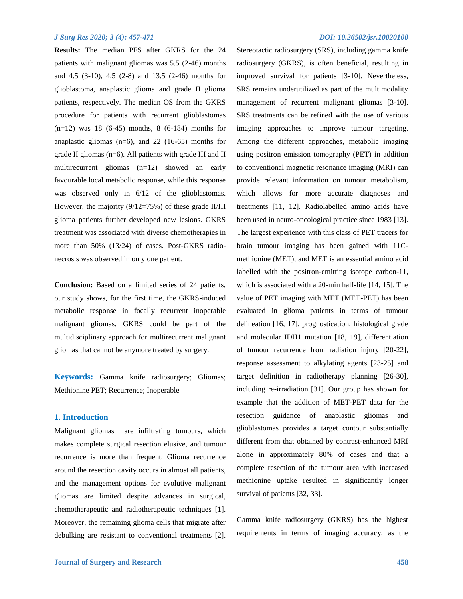**Results:** The median PFS after GKRS for the 24 patients with malignant gliomas was 5.5 (2-46) months and 4.5 (3-10), 4.5 (2-8) and 13.5 (2-46) months for glioblastoma, anaplastic glioma and grade II glioma patients, respectively. The median OS from the GKRS procedure for patients with recurrent glioblastomas (n=12) was 18 (6-45) months, 8 (6-184) months for anaplastic gliomas (n=6), and 22 (16-65) months for grade II gliomas (n=6). All patients with grade III and II multirecurrent gliomas (n=12) showed an early favourable local metabolic response, while this response was observed only in  $6/12$  of the glioblastomas. However, the majority  $(9/12=75%)$  of these grade II/III glioma patients further developed new lesions. GKRS treatment was associated with diverse chemotherapies in more than 50% (13/24) of cases. Post-GKRS radionecrosis was observed in only one patient.

**Conclusion:** Based on a limited series of 24 patients, our study shows, for the first time, the GKRS-induced metabolic response in focally recurrent inoperable malignant gliomas. GKRS could be part of the multidisciplinary approach for multirecurrent malignant gliomas that cannot be anymore treated by surgery.

**Keywords:** Gamma knife radiosurgery; Gliomas; Methionine PET; Recurrence; Inoperable

#### **1. Introduction**

Malignant gliomas are infiltrating tumours, which makes complete surgical resection elusive, and tumour recurrence is more than frequent. Glioma recurrence around the resection cavity occurs in almost all patients, and the management options for evolutive malignant gliomas are limited despite advances in surgical, chemotherapeutic and radiotherapeutic techniques [1]. Moreover, the remaining glioma cells that migrate after debulking are resistant to conventional treatments [2].

Stereotactic radiosurgery (SRS), including gamma knife radiosurgery (GKRS), is often beneficial, resulting in improved survival for patients [3-10]. Nevertheless, SRS remains underutilized as part of the multimodality management of recurrent malignant gliomas [3-10]. SRS treatments can be refined with the use of various imaging approaches to improve tumour targeting. Among the different approaches, metabolic imaging using positron emission tomography (PET) in addition to conventional magnetic resonance imaging (MRI) can provide relevant information on tumour metabolism, which allows for more accurate diagnoses and treatments [11, 12]. Radiolabelled amino acids have been used in neuro-oncological practice since 1983 [13]. The largest experience with this class of PET tracers for brain tumour imaging has been gained with 11Cmethionine (MET), and MET is an essential amino acid labelled with the positron-emitting isotope carbon-11, which is associated with a 20-min half-life [14, 15]. The value of PET imaging with MET (MET-PET) has been evaluated in glioma patients in terms of tumour delineation [16, 17], prognostication, histological grade and molecular IDH1 mutation [18, 19], differentiation of tumour recurrence from radiation injury [20-22], response assessment to alkylating agents [23-25] and target definition in radiotherapy planning [26-30], including re-irradiation [31]. Our group has shown for example that the addition of MET-PET data for the resection guidance of anaplastic gliomas and glioblastomas provides a target contour substantially different from that obtained by contrast-enhanced MRI alone in approximately 80% of cases and that a complete resection of the tumour area with increased methionine uptake resulted in significantly longer survival of patients [32, 33].

Gamma knife radiosurgery (GKRS) has the highest requirements in terms of imaging accuracy, as the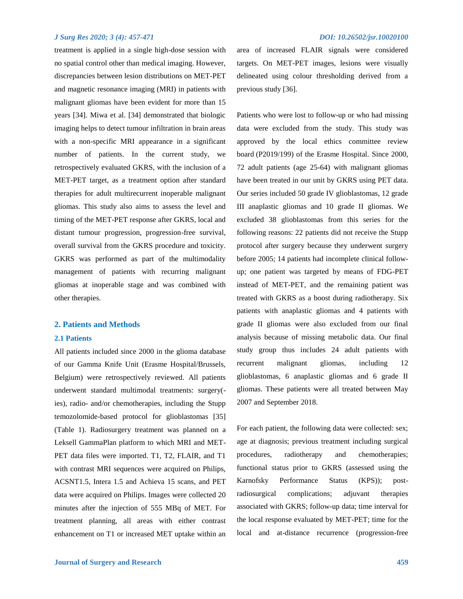treatment is applied in a single high-dose session with no spatial control other than medical imaging. However, discrepancies between lesion distributions on MET-PET and magnetic resonance imaging (MRI) in patients with malignant gliomas have been evident for more than 15 years [34]. Miwa et al. [34] demonstrated that biologic imaging helps to detect tumour infiltration in brain areas with a non-specific MRI appearance in a significant number of patients. In the current study, we retrospectively evaluated GKRS, with the inclusion of a MET-PET target, as a treatment option after standard therapies for adult multirecurrent inoperable malignant gliomas. This study also aims to assess the level and timing of the MET-PET response after GKRS, local and distant tumour progression, progression-free survival, overall survival from the GKRS procedure and toxicity. GKRS was performed as part of the multimodality management of patients with recurring malignant gliomas at inoperable stage and was combined with other therapies.

#### **2. Patients and Methods**

#### **2.1 Patients**

All patients included since 2000 in the glioma database of our Gamma Knife Unit (Erasme Hospital/Brussels, Belgium) were retrospectively reviewed. All patients underwent standard multimodal treatments: surgery( ies), radio- and/or chemotherapies, including the Stupp temozolomide-based protocol for glioblastomas [35] (Table 1). Radiosurgery treatment was planned on a Leksell GammaPlan platform to which MRI and MET-PET data files were imported. T1, T2, FLAIR, and T1 with contrast MRI sequences were acquired on Philips, ACSNT1.5, Intera 1.5 and Achieva 15 scans, and PET data were acquired on Philips. Images were collected 20 minutes after the injection of 555 MBq of MET. For treatment planning, all areas with either contrast enhancement on T1 or increased MET uptake within an area of increased FLAIR signals were considered targets. On MET-PET images, lesions were visually delineated using colour thresholding derived from a previous study [36].

Patients who were lost to follow-up or who had missing data were excluded from the study. This study was approved by the local ethics committee review board (P2019/199) of the Erasme Hospital. Since 2000, 72 adult patients (age 25-64) with malignant gliomas have been treated in our unit by GKRS using PET data. Our series included 50 grade IV glioblastomas, 12 grade III anaplastic gliomas and 10 grade II gliomas. We excluded 38 glioblastomas from this series for the following reasons: 22 patients did not receive the Stupp protocol after surgery because they underwent surgery before 2005; 14 patients had incomplete clinical followup; one patient was targeted by means of FDG-PET instead of MET-PET, and the remaining patient was treated with GKRS as a boost during radiotherapy. Six patients with anaplastic gliomas and 4 patients with grade II gliomas were also excluded from our final analysis because of missing metabolic data. Our final study group thus includes 24 adult patients with recurrent malignant gliomas, including 12 glioblastomas, 6 anaplastic gliomas and 6 grade II gliomas. These patients were all treated between May 2007 and September 2018.

For each patient, the following data were collected: sex; age at diagnosis; previous treatment including surgical procedures, radiotherapy and chemotherapies; functional status prior to GKRS (assessed using the Karnofsky Performance Status (KPS)); postradiosurgical complications; adjuvant therapies associated with GKRS; follow-up data; time interval for the local response evaluated by MET-PET; time for the local and at-distance recurrence (progression-free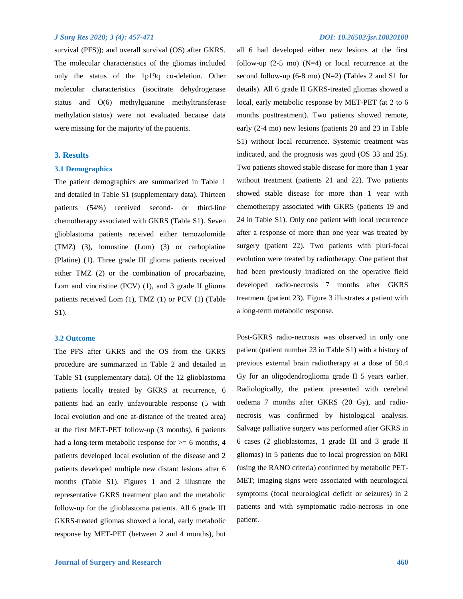survival (PFS)); and overall survival (OS) after GKRS. The molecular characteristics of the gliomas included only the status of the 1p19q co-deletion. Other molecular characteristics (isocitrate dehydrogenase status and O(6) methylguanine methyltransferase methylation status) were not evaluated because data were missing for the majority of the patients.

### **3. Results**

#### **3.1 Demographics**

The patient demographics are summarized in Table 1 and detailed in Table S1 (supplementary data). Thirteen patients (54%) received second- or third-line chemotherapy associated with GKRS (Table S1). Seven glioblastoma patients received either temozolomide (TMZ) (3), lomustine (Lom) (3) or carboplatine (Platine) (1). Three grade III glioma patients received either TMZ (2) or the combination of procarbazine, Lom and vincristine (PCV) (1), and 3 grade II glioma patients received Lom (1), TMZ (1) or PCV (1) (Table S1).

#### **3.2 Outcome**

The PFS after GKRS and the OS from the GKRS procedure are summarized in Table 2 and detailed in Table S1 (supplementary data). Of the 12 glioblastoma patients locally treated by GKRS at recurrence, 6 patients had an early unfavourable response (5 with local evolution and one at-distance of the treated area) at the first MET-PET follow-up (3 months), 6 patients had a long-term metabolic response for  $\geq 6$  months, 4 patients developed local evolution of the disease and 2 patients developed multiple new distant lesions after 6 months (Table S1). Figures 1 and 2 illustrate the representative GKRS treatment plan and the metabolic follow-up for the glioblastoma patients. All 6 grade III GKRS-treated gliomas showed a local, early metabolic response by MET-PET (between 2 and 4 months), but

all 6 had developed either new lesions at the first follow-up  $(2-5 \text{ mo})$   $(N=4)$  or local recurrence at the second follow-up  $(6-8 \text{ mo})$   $(N=2)$  (Tables 2 and S1 for details). All 6 grade II GKRS-treated gliomas showed a local, early metabolic response by MET-PET (at 2 to 6 months posttreatment). Two patients showed remote, early (2-4 mo) new lesions (patients 20 and 23 in Table S1) without local recurrence. Systemic treatment was indicated, and the prognosis was good (OS 33 and 25). Two patients showed stable disease for more than 1 year without treatment (patients 21 and 22). Two patients showed stable disease for more than 1 year with chemotherapy associated with GKRS (patients 19 and 24 in Table S1). Only one patient with local recurrence after a response of more than one year was treated by surgery (patient 22). Two patients with pluri-focal evolution were treated by radiotherapy. One patient that had been previously irradiated on the operative field developed radio-necrosis 7 months after GKRS treatment (patient 23). Figure 3 illustrates a patient with a long-term metabolic response.

Post-GKRS radio-necrosis was observed in only one patient (patient number 23 in Table S1) with a history of previous external brain radiotherapy at a dose of 50.4 Gy for an oligodendroglioma grade II 5 years earlier. Radiologically, the patient presented with cerebral oedema 7 months after GKRS (20 Gy), and radionecrosis was confirmed by histological analysis. Salvage palliative surgery was performed after GKRS in 6 cases (2 glioblastomas, 1 grade III and 3 grade II gliomas) in 5 patients due to local progression on MRI (using the RANO criteria) confirmed by metabolic PET-MET; imaging signs were associated with neurological symptoms (focal neurological deficit or seizures) in 2 patients and with symptomatic radio-necrosis in one patient.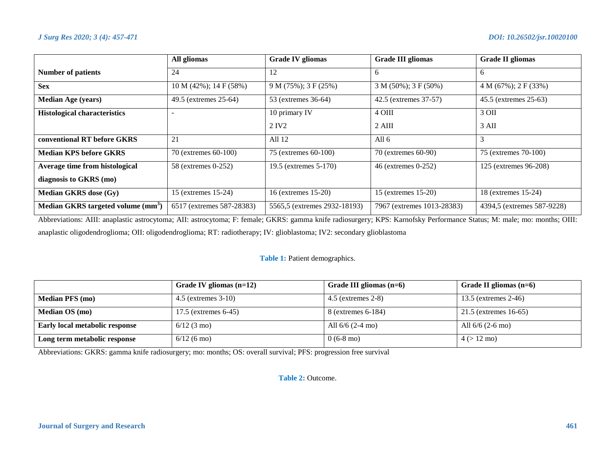|                                                | All gliomas                   | <b>Grade IV gliomas</b>      | <b>Grade III gliomas</b>    | <b>Grade II gliomas</b>     |  |
|------------------------------------------------|-------------------------------|------------------------------|-----------------------------|-----------------------------|--|
| <b>Number of patients</b>                      | 24                            | 12                           | 6                           | 6                           |  |
| <b>Sex</b>                                     | $10 M (42\%)$ ; $14 F (58\%)$ | $9 M (75\%)$ ; 3 F (25%)     | $3 M (50\%)$ ; $3 F (50\%)$ | $4 M (67\%)$ ; $2 F (33\%)$ |  |
| <b>Median Age (years)</b>                      | 49.5 (extremes 25-64)         | 53 (extremes 36-64)          | 42.5 (extremes 37-57)       | 45.5 (extremes 25-63)       |  |
| <b>Histological characteristics</b>            |                               | 10 primary IV                | 4 OIII                      | 3 OII                       |  |
|                                                |                               | 2 IV <sub>2</sub>            | $2$ AIII                    | $3 \text{ } AH$             |  |
| conventional RT before GKRS                    | 21                            | All 12                       | All $6$                     | 3                           |  |
| <b>Median KPS before GKRS</b>                  | 70 (extremes 60-100)          | 75 (extremes 60-100)         | 70 (extremes 60-90)         | 75 (extremes 70-100)        |  |
| Average time from histological                 | 58 (extremes 0-252)           | 19.5 (extremes 5-170)        | 46 (extremes 0-252)         | 125 (extremes 96-208)       |  |
| diagnosis to GKRS (mo)                         |                               |                              |                             |                             |  |
| <b>Median GKRS</b> dose (Gy)                   | 15 (extremes 15-24)           | 16 (extremes 15-20)          | 15 (extremes 15-20)         | 18 (extremes 15-24)         |  |
| Median GKRS targeted volume (mm <sup>3</sup> ) | 6517 (extremes 587-28383)     | 5565,5 (extremes 2932-18193) | 7967 (extremes 1013-28383)  | 4394,5 (extremes 587-9228)  |  |

Abbreviations: AIII: anaplastic astrocytoma; AII: astrocytoma; F: female; GKRS: gamma knife radiosurgery; KPS: Karnofsky Performance Status; M: male; mo: months; OIII: anaplastic oligodendroglioma; OII: oligodendroglioma; RT: radiotherapy; IV: glioblastoma; IV2: secondary glioblastoma

### **Table 1:** Patient demographics.

|                                | Grade IV gliomas $(n=12)$ | Grade III gliomas $(n=6)$ | Grade II gliomas $(n=6)$ |
|--------------------------------|---------------------------|---------------------------|--------------------------|
| <b>Median PFS</b> (mo)         | $4.5$ (extremes $3-10$ )  | $4.5$ (extremes 2-8)      | 13.5 (extremes 2-46)     |
| <b>Median OS</b> (mo)          | 17.5 (extremes 6-45)      | 8 (extremes 6-184)        | 21.5 (extremes 16-65)    |
| Early local metabolic response | $6/12$ (3 mo)             | All $6/6$ (2-4 mo)        | All $6/6$ (2-6 mo)       |
| Long term metabolic response   | $6/12$ (6 mo)             | $0(6-8 \text{ mo})$       | $4 (> 12 \text{ mo})$    |

Abbreviations: GKRS: gamma knife radiosurgery; mo: months; OS: overall survival; PFS: progression free survival

**Table 2:** Outcome.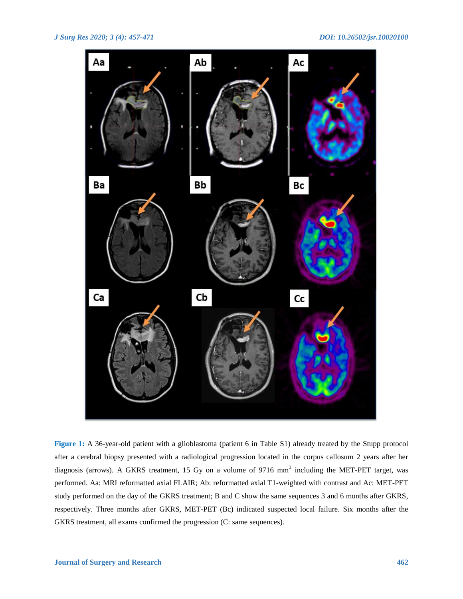

**Figure 1:** A 36-year-old patient with a glioblastoma (patient 6 in Table S1) already treated by the Stupp protocol after a cerebral biopsy presented with a radiological progression located in the corpus callosum 2 years after her diagnosis (arrows). A GKRS treatment, 15 Gy on a volume of 9716 mm<sup>3</sup> including the MET-PET target, was performed. Aa: MRI reformatted axial FLAIR; Ab: reformatted axial T1-weighted with contrast and Ac: MET-PET study performed on the day of the GKRS treatment; B and C show the same sequences 3 and 6 months after GKRS, respectively. Three months after GKRS, MET-PET (Bc) indicated suspected local failure. Six months after the GKRS treatment, all exams confirmed the progression (C: same sequences).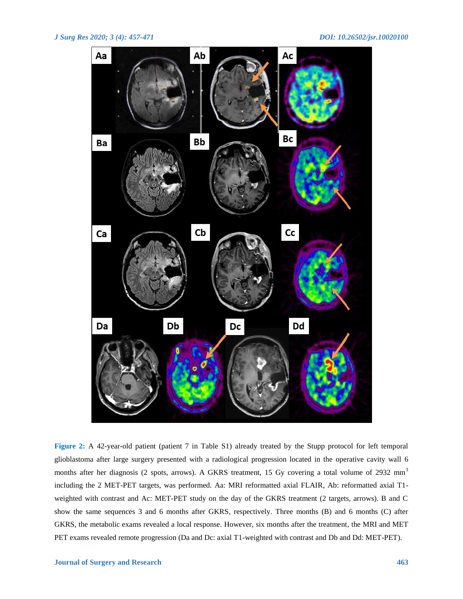

**Figure 2:** A 42-year-old patient (patient 7 in Table S1) already treated by the Stupp protocol for left temporal glioblastoma after large surgery presented with a radiological progression located in the operative cavity wall 6 months after her diagnosis (2 spots, arrows). A GKRS treatment, 15 Gy covering a total volume of 2932 mm<sup>3</sup> including the 2 MET-PET targets, was performed. Aa: MRI reformatted axial FLAIR, Ab: reformatted axial T1 weighted with contrast and Ac: MET-PET study on the day of the GKRS treatment (2 targets, arrows). B and C show the same sequences 3 and 6 months after GKRS, respectively. Three months (B) and 6 months (C) after GKRS, the metabolic exams revealed a local response. However, six months after the treatment, the MRI and MET PET exams revealed remote progression (Da and Dc: axial T1-weighted with contrast and Db and Dd: MET-PET).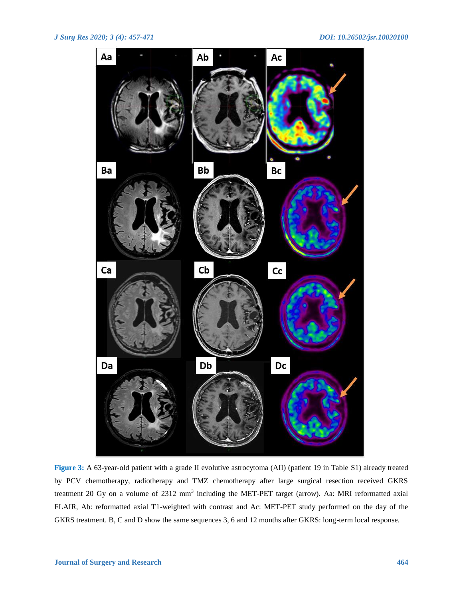

**Figure 3:** A 63-year-old patient with a grade II evolutive astrocytoma (AII) (patient 19 in Table S1) already treated by PCV chemotherapy, radiotherapy and TMZ chemotherapy after large surgical resection received GKRS treatment 20 Gy on a volume of 2312 mm<sup>3</sup> including the MET-PET target (arrow). Aa: MRI reformatted axial FLAIR, Ab: reformatted axial T1-weighted with contrast and Ac: MET-PET study performed on the day of the GKRS treatment. B, C and D show the same sequences 3, 6 and 12 months after GKRS: long-term local response.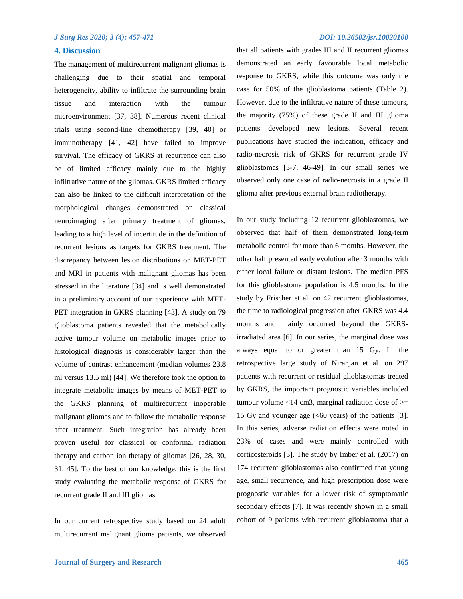#### **4. Discussion**

The management of multirecurrent malignant gliomas is challenging due to their spatial and temporal heterogeneity, ability to infiltrate the surrounding brain tissue and interaction with the tumour microenvironment [37, 38]. Numerous recent clinical trials using second-line chemotherapy [39, 40] or immunotherapy [41, 42] have failed to improve survival. The efficacy of GKRS at recurrence can also be of limited efficacy mainly due to the highly infiltrative nature of the gliomas. GKRS limited efficacy can also be linked to the difficult interpretation of the morphological changes demonstrated on classical neuroimaging after primary treatment of gliomas, leading to a high level of incertitude in the definition of recurrent lesions as targets for GKRS treatment. The discrepancy between lesion distributions on MET-PET and MRI in patients with malignant gliomas has been stressed in the literature [34] and is well demonstrated in a preliminary account of our experience with MET-PET integration in GKRS planning [43]. A study on 79 glioblastoma patients revealed that the metabolically active tumour volume on metabolic images prior to histological diagnosis is considerably larger than the volume of contrast enhancement (median volumes 23.8 ml versus 13.5 ml) [44]. We therefore took the option to integrate metabolic images by means of MET-PET to the GKRS planning of multirecurrent inoperable malignant gliomas and to follow the metabolic response after treatment. Such integration has already been proven useful for classical or conformal radiation therapy and carbon ion therapy of gliomas [26, 28, 30, 31, 45]. To the best of our knowledge, this is the first study evaluating the metabolic response of GKRS for recurrent grade II and III gliomas.

In our current retrospective study based on 24 adult multirecurrent malignant glioma patients, we observed

that all patients with grades III and II recurrent gliomas demonstrated an early favourable local metabolic response to GKRS, while this outcome was only the case for 50% of the glioblastoma patients (Table 2). However, due to the infiltrative nature of these tumours, the majority (75%) of these grade II and III glioma patients developed new lesions. Several recent publications have studied the indication, efficacy and radio-necrosis risk of GKRS for recurrent grade IV glioblastomas [3-7, 46-49]. In our small series we observed only one case of radio-necrosis in a grade II glioma after previous external brain radiotherapy.

In our study including 12 recurrent glioblastomas, we observed that half of them demonstrated long-term metabolic control for more than 6 months. However, the other half presented early evolution after 3 months with either local failure or distant lesions. The median PFS for this glioblastoma population is 4.5 months. In the study by Frischer et al. on 42 recurrent glioblastomas, the time to radiological progression after GKRS was 4.4 months and mainly occurred beyond the GKRSirradiated area [6]. In our series, the marginal dose was always equal to or greater than 15 Gy. In the retrospective large study of Niranjan et al. on 297 patients with recurrent or residual glioblastomas treated by GKRS, the important prognostic variables included tumour volume  $<$ 14 cm3, marginal radiation dose of  $>$ = 15 Gy and younger age (<60 years) of the patients [3]. In this series, adverse radiation effects were noted in 23% of cases and were mainly controlled with corticosteroids [3]. The study by Imber et al. (2017) on 174 recurrent glioblastomas also confirmed that young age, small recurrence, and high prescription dose were prognostic variables for a lower risk of symptomatic secondary effects [7]. It was recently shown in a small cohort of 9 patients with recurrent glioblastoma that a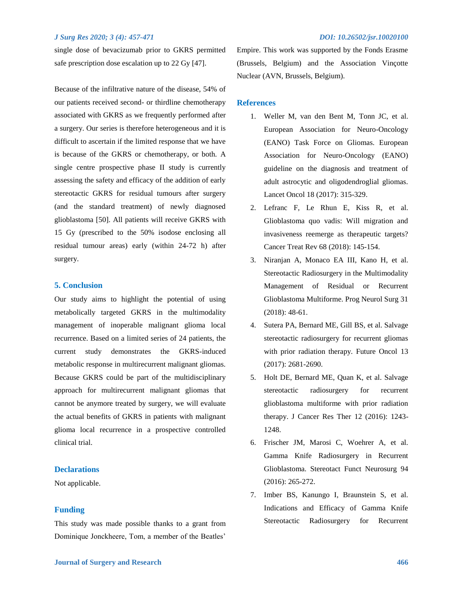single dose of bevacizumab prior to GKRS permitted safe prescription dose escalation up to 22 Gy [47].

Because of the infiltrative nature of the disease, 54% of our patients received second- or thirdline chemotherapy associated with GKRS as we frequently performed after a surgery. Our series is therefore heterogeneous and it is difficult to ascertain if the limited response that we have is because of the GKRS or chemotherapy, or both. A single centre prospective phase II study is currently assessing the safety and efficacy of the addition of early stereotactic GKRS for residual tumours after surgery (and the standard treatment) of newly diagnosed glioblastoma [50]. All patients will receive GKRS with 15 Gy (prescribed to the 50% isodose enclosing all residual tumour areas) early (within 24-72 h) after surgery.

#### **5. Conclusion**

Our study aims to highlight the potential of using metabolically targeted GKRS in the multimodality management of inoperable malignant glioma local recurrence. Based on a limited series of 24 patients, the current study demonstrates the GKRS-induced metabolic response in multirecurrent malignant gliomas. Because GKRS could be part of the multidisciplinary approach for multirecurrent malignant gliomas that cannot be anymore treated by surgery, we will evaluate the actual benefits of GKRS in patients with malignant glioma local recurrence in a prospective controlled clinical trial.

### **Declarations**

Not applicable.

#### **Funding**

This study was made possible thanks to a grant from Dominique Jonckheere, Tom, a member of the Beatles'

Empire. This work was supported by the Fonds Erasme (Brussels, Belgium) and the Association Vinçotte Nuclear (AVN, Brussels, Belgium).

#### **References**

- 1. Weller M, van den Bent M, Tonn JC, et al. European Association for Neuro-Oncology (EANO) Task Force on Gliomas. European Association for Neuro-Oncology (EANO) guideline on the diagnosis and treatment of adult astrocytic and oligodendroglial gliomas. Lancet Oncol 18 (2017): 315-329.
- 2. Lefranc F, Le Rhun E, Kiss R, et al. Glioblastoma quo vadis: Will migration and invasiveness reemerge as therapeutic targets? Cancer Treat Rev 68 (2018): 145-154.
- 3. Niranjan A, Monaco EA III, Kano H, et al. Stereotactic Radiosurgery in the Multimodality Management of Residual or Recurrent Glioblastoma Multiforme. Prog Neurol Surg 31 (2018): 48-61.
- 4. Sutera PA, Bernard ME, Gill BS, et al. Salvage stereotactic radiosurgery for recurrent gliomas with prior radiation therapy. Future Oncol 13 (2017): 2681-2690.
- 5. Holt DE, Bernard ME, Quan K, et al. Salvage stereotactic radiosurgery for recurrent glioblastoma multiforme with prior radiation therapy. J Cancer Res Ther 12 (2016): 1243- 1248.
- 6. Frischer JM, Marosi C, Woehrer A, et al. Gamma Knife Radiosurgery in Recurrent Glioblastoma. Stereotact Funct Neurosurg 94 (2016): 265-272.
- 7. Imber BS, Kanungo I, Braunstein S, et al. Indications and Efficacy of Gamma Knife Stereotactic Radiosurgery for Recurrent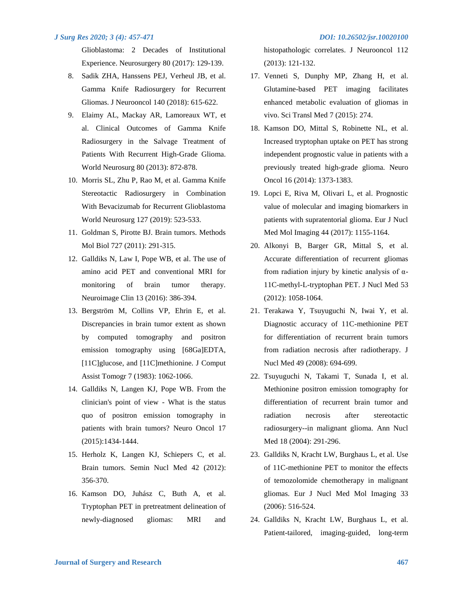Glioblastoma: 2 Decades of Institutional Experience. Neurosurgery 80 (2017): 129-139.

- 8. Sadik ZHA, Hanssens PEJ, Verheul JB, et al. Gamma Knife Radiosurgery for Recurrent Gliomas. J Neurooncol 140 (2018): 615-622.
- 9. Elaimy AL, Mackay AR, Lamoreaux WT, et al. Clinical Outcomes of Gamma Knife Radiosurgery in the Salvage Treatment of Patients With Recurrent High-Grade Glioma. World Neurosurg 80 (2013): 872-878.
- 10. Morris SL, Zhu P, Rao M, et al. Gamma Knife Stereotactic Radiosurgery in Combination With Bevacizumab for Recurrent Glioblastoma World Neurosurg 127 (2019): 523-533.
- 11. Goldman S, Pirotte BJ. Brain tumors. Methods Mol Biol 727 (2011): 291-315.
- 12. Galldiks N, Law I, Pope WB, et al. The use of amino acid PET and conventional MRI for monitoring of brain tumor therapy. Neuroimage Clin 13 (2016): 386-394.
- 13. Bergström M, Collins VP, Ehrin E, et al. Discrepancies in brain tumor extent as shown by computed tomography and positron emission tomography using [68Ga]EDTA, [11C]glucose, and [11C]methionine. J Comput Assist Tomogr 7 (1983): 1062-1066.
- 14. Galldiks N, Langen KJ, Pope WB. From the clinician's point of view - What is the status quo of positron emission tomography in patients with brain tumors? Neuro Oncol 17 (2015):1434-1444.
- 15. Herholz K, Langen KJ, Schiepers C, et al. Brain tumors. Semin Nucl Med 42 (2012): 356-370.
- 16. Kamson DO, Juhász C, Buth A, et al. Tryptophan PET in pretreatment delineation of newly-diagnosed gliomas: MRI and

histopathologic correlates. J Neurooncol 112 (2013): 121-132.

- 17. Venneti S, Dunphy MP, Zhang H, et al. Glutamine-based PET imaging facilitates enhanced metabolic evaluation of gliomas in vivo. Sci Transl Med 7 (2015): 274.
- 18. Kamson DO, Mittal S, Robinette NL, et al. Increased tryptophan uptake on PET has strong independent prognostic value in patients with a previously treated high-grade glioma. Neuro Oncol 16 (2014): 1373-1383.
- 19. Lopci E, Riva M, Olivari L, et al. Prognostic value of molecular and imaging biomarkers in patients with supratentorial glioma. Eur J Nucl Med Mol Imaging 44 (2017): 1155-1164.
- 20. Alkonyi B, Barger GR, Mittal S, et al. Accurate differentiation of recurrent gliomas from radiation injury by kinetic analysis of α-11C-methyl-L-tryptophan PET. J Nucl Med 53 (2012): 1058-1064.
- 21. Terakawa Y, Tsuyuguchi N, Iwai Y, et al. Diagnostic accuracy of 11C-methionine PET for differentiation of recurrent brain tumors from radiation necrosis after radiotherapy. J Nucl Med 49 (2008): 694-699.
- 22. Tsuyuguchi N, Takami T, Sunada I, et al. Methionine positron emission tomography for differentiation of recurrent brain tumor and radiation necrosis after stereotactic radiosurgery--in malignant glioma. Ann Nucl Med 18 (2004): 291-296.
- 23. Galldiks N, Kracht LW, Burghaus L, et al. Use of 11C-methionine PET to monitor the effects of temozolomide chemotherapy in malignant gliomas. Eur J Nucl Med Mol Imaging 33 (2006): 516-524.
- 24. Galldiks N, Kracht LW, Burghaus L, et al. Patient-tailored, imaging-guided, long-term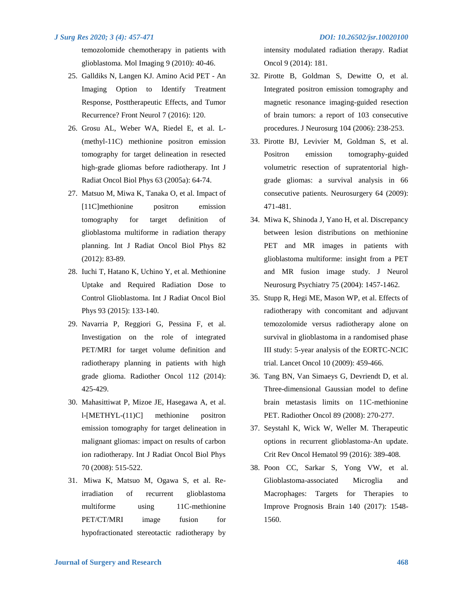temozolomide chemotherapy in patients with glioblastoma. Mol Imaging 9 (2010): 40-46.

- 25. Galldiks N, Langen KJ. Amino Acid PET An Imaging Option to Identify Treatment Response, Posttherapeutic Effects, and Tumor Recurrence? Front Neurol 7 (2016): 120.
- 26. Grosu AL, Weber WA, Riedel E, et al. L- (methyl-11C) methionine positron emission tomography for target delineation in resected high-grade gliomas before radiotherapy. Int J Radiat Oncol Biol Phys 63 (2005a): 64-74.
- 27. Matsuo M, Miwa K, Tanaka O, et al. Impact of [11C]methionine positron emission tomography for target definition of glioblastoma multiforme in radiation therapy planning. Int J Radiat Oncol Biol Phys 82 (2012): 83-89.
- 28. Iuchi T, Hatano K, Uchino Y, et al. Methionine Uptake and Required Radiation Dose to Control Glioblastoma. Int J Radiat Oncol Biol Phys 93 (2015): 133-140.
- 29. Navarria P, Reggiori G, Pessina F, et al. Investigation on the role of integrated PET/MRI for target volume definition and radiotherapy planning in patients with high grade glioma. Radiother Oncol 112 (2014): 425-429.
- 30. Mahasittiwat P, Mizoe JE, Hasegawa A, et al. l-[METHYL-(11)C] methionine positron emission tomography for target delineation in malignant gliomas: impact on results of carbon ion radiotherapy. Int J Radiat Oncol Biol Phys 70 (2008): 515-522.
- 31. Miwa K, Matsuo M, Ogawa S, et al. Reirradiation of recurrent glioblastoma multiforme using 11C-methionine PET/CT/MRI image fusion for hypofractionated stereotactic radiotherapy by

intensity modulated radiation therapy. Radiat Oncol 9 (2014): 181.

- 32. Pirotte B, Goldman S, Dewitte O, et al. Integrated positron emission tomography and magnetic resonance imaging-guided resection of brain tumors: a report of 103 consecutive procedures. J Neurosurg 104 (2006): 238-253.
- 33. Pirotte BJ, Levivier M, Goldman S, et al. Positron emission tomography-guided volumetric resection of supratentorial highgrade gliomas: a survival analysis in 66 consecutive patients. Neurosurgery 64 (2009): 471-481.
- 34. Miwa K, Shinoda J, Yano H, et al. Discrepancy between lesion distributions on methionine PET and MR images in patients with glioblastoma multiforme: insight from a PET and MR fusion image study. J Neurol Neurosurg Psychiatry 75 (2004): 1457-1462.
- 35. Stupp R, Hegi ME, Mason WP, et al. Effects of radiotherapy with concomitant and adjuvant temozolomide versus radiotherapy alone on survival in glioblastoma in a randomised phase III study: 5-year analysis of the EORTC-NCIC trial. Lancet Oncol 10 (2009): 459-466.
- 36. Tang BN, Van Simaeys G, Devriendt D, et al. Three-dimensional Gaussian model to define brain metastasis limits on 11C-methionine PET. Radiother Oncol 89 (2008): 270-277.
- 37. Seystahl K, Wick W, Weller M. Therapeutic options in recurrent glioblastoma-An update. Crit Rev Oncol Hematol 99 (2016): 389-408.
- 38. Poon CC, Sarkar S, Yong VW, et al. Glioblastoma-associated Microglia and Macrophages: Targets for Therapies to Improve Prognosis Brain 140 (2017): 1548- 1560.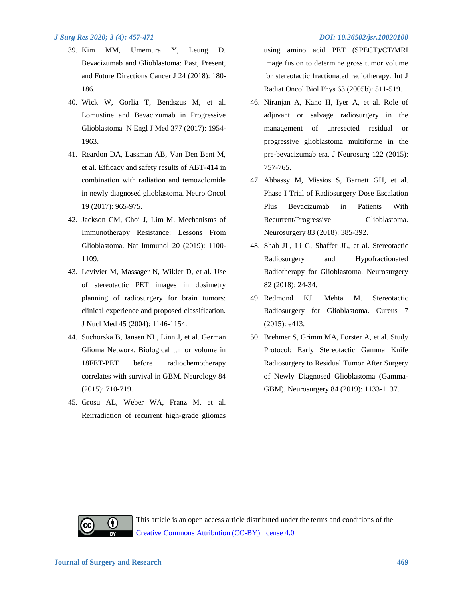- 39. Kim MM, Umemura Y, Leung D. Bevacizumab and Glioblastoma: Past, Present, and Future Directions Cancer J 24 (2018): 180- 186.
- 40. Wick W, Gorlia T, Bendszus M, et al. Lomustine and Bevacizumab in Progressive Glioblastoma N Engl J Med 377 (2017): 1954- 1963.
- 41. Reardon DA, Lassman AB, Van Den Bent M, et al. Efficacy and safety results of ABT-414 in combination with radiation and temozolomide in newly diagnosed glioblastoma. Neuro Oncol 19 (2017): 965-975.
- 42. Jackson CM, Choi J, Lim M. Mechanisms of Immunotherapy Resistance: Lessons From Glioblastoma. Nat Immunol 20 (2019): 1100- 1109.
- 43. Levivier M, Massager N, Wikler D, et al. Use of stereotactic PET images in dosimetry planning of radiosurgery for brain tumors: clinical experience and proposed classification. J Nucl Med 45 (2004): 1146-1154.
- 44. Suchorska B, Jansen NL, Linn J, et al. German Glioma Network. Biological tumor volume in 18FET-PET before radiochemotherapy correlates with survival in GBM. Neurology 84 (2015): 710-719.
- 45. Grosu AL, Weber WA, Franz M, et al. Reirradiation of recurrent high-grade gliomas

using amino acid PET (SPECT)/CT/MRI image fusion to determine gross tumor volume for stereotactic fractionated radiotherapy. Int J Radiat Oncol Biol Phys 63 (2005b): 511-519.

- 46. Niranjan A, Kano H, Iyer A, et al. Role of adjuvant or salvage radiosurgery in the management of unresected residual or progressive glioblastoma multiforme in the pre-bevacizumab era. J Neurosurg 122 (2015): 757-765.
- 47. Abbassy M, Missios S, Barnett GH, et al. Phase I Trial of Radiosurgery Dose Escalation Plus Bevacizumab in Patients With Recurrent/Progressive Glioblastoma. Neurosurgery 83 (2018): 385-392.
- 48. Shah JL, Li G, Shaffer JL, et al. Stereotactic Radiosurgery and Hypofractionated Radiotherapy for Glioblastoma. Neurosurgery 82 (2018): 24-34.
- 49. Redmond KJ, Mehta M. Stereotactic Radiosurgery for Glioblastoma. Cureus 7 (2015): e413.
- 50. Brehmer S, Grimm MA, Förster A, et al. Study Protocol: Early Stereotactic Gamma Knife Radiosurgery to Residual Tumor After Surgery of Newly Diagnosed Glioblastoma (Gamma-GBM). Neurosurgery 84 (2019): 1133-1137.

 $\bf(i)$ 

This article is an open access article distributed under the terms and conditions of the [Creative Commons Attribution \(CC-BY\) license 4.0](http://creativecommons.org/licenses/by/4.0/)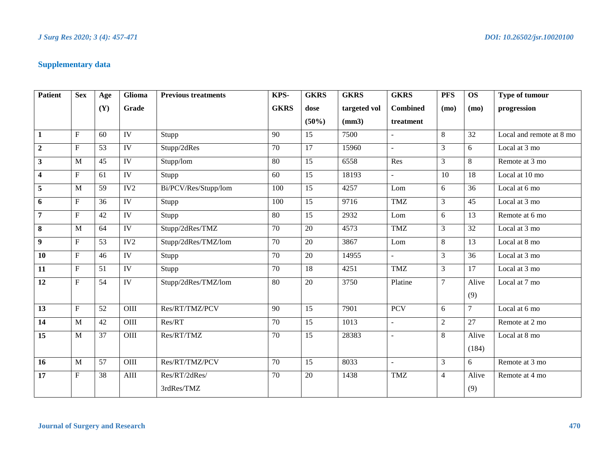# **Supplementary data**

| <b>Patient</b>          | <b>Sex</b>     | Age             | Glioma            | <b>Previous treatments</b> | KPS-            | <b>GKRS</b>     | <b>GKRS</b>  | <b>GKRS</b>                 | <b>PFS</b>     | <b>OS</b>       | Type of tumour           |
|-------------------------|----------------|-----------------|-------------------|----------------------------|-----------------|-----------------|--------------|-----------------------------|----------------|-----------------|--------------------------|
|                         |                | (Y)             | Grade             |                            | <b>GKRS</b>     | dose            | targeted vol | <b>Combined</b>             | (mo)           | (mo)            | progression              |
|                         |                |                 |                   |                            |                 | $(50\%)$        | (mm3)        | treatment                   |                |                 |                          |
| $\mathbf{1}$            | $\mathbf{F}$   | 60              | <b>IV</b>         | Stupp                      | 90              | 15              | 7500         | ÷.                          | 8              | $\overline{32}$ | Local and remote at 8 mo |
| $\overline{2}$          | $\mathbf F$    | 53              | $\overline{IV}$   | Stupp/2dRes                | 70              | $\overline{17}$ | 15960        | $\overline{\phantom{a}}$    | $\mathfrak{Z}$ | 6               | Local at 3 mo            |
| 3                       | M              | 45              | <b>IV</b>         | Stupp/lom                  | 80              | 15              | 6558         | Res                         | $\overline{3}$ | 8               | Remote at 3 mo           |
| $\overline{\mathbf{4}}$ | $\mathbf F$    | 61              | $\overline{IV}$   | Stupp                      | 60              | 15              | 18193        | $\mathbf{r}$                | 10             | 18              | Local at 10 mo           |
| 5                       | M              | 59              | $\overline{IV2}$  | Bi/PCV/Res/Stupp/lom       | 100             | $\overline{15}$ | 4257         | Lom                         | 6              | $\overline{36}$ | Local at 6 mo            |
| 6                       | ${\bf F}$      | 36              | <b>IV</b>         | Stupp                      | 100             | 15              | 9716         | <b>TMZ</b>                  | $\mathfrak{Z}$ | $\overline{45}$ | Local at 3 mo            |
| $\overline{7}$          | ${\bf F}$      | 42              | $\overline{IV}$   | Stupp                      | 80              | 15              | 2932         | Lom                         | 6              | 13              | Remote at 6 mo           |
| 8                       | M              | 64              | IV                | Stupp/2dRes/TMZ            | 70              | 20              | 4573         | <b>TMZ</b>                  | 3              | 32              | Local at 3 mo            |
| 9                       | ${\bf F}$      | $\overline{53}$ | IV2               | Stupp/2dRes/TMZ/lom        | $\overline{70}$ | $\overline{20}$ | 3867         | Lom                         | $8\,$          | $\overline{13}$ | Local at 8 mo            |
| 10                      | $\mathbf F$    | 46              | IV                | Stupp                      | 70              | 20              | 14955        | $\mathcal{L}^{\mathcal{A}}$ | $\mathfrak{Z}$ | 36              | Local at 3 mo            |
| 11                      | $\mathbf F$    | 51              | IV                | Stupp                      | 70              | 18              | 4251         | <b>TMZ</b>                  | $\mathfrak{Z}$ | 17              | Local at 3 mo            |
| 12                      | $\mathbf F$    | 54              | <b>IV</b>         | Stupp/2dRes/TMZ/lom        | 80              | $20\,$          | 3750         | Platine                     | $\tau$         | Alive           | Local at 7 mo            |
|                         |                |                 |                   |                            |                 |                 |              |                             |                | (9)             |                          |
| 13                      | ${\bf F}$      | $\overline{52}$ | $\overline{OIII}$ | Res/RT/TMZ/PCV             | 90              | $\overline{15}$ | 7901         | <b>PCV</b>                  | 6              | 7               | Local at 6 mo            |
| 14                      | $\mathbf M$    | 42              | OIII              | Res/RT                     | 70              | 15              | 1013         | $\blacksquare$              | $\sqrt{2}$     | 27              | Remote at 2 mo           |
| 15                      | $\overline{M}$ | $\overline{37}$ | OIII              | Res/RT/TMZ                 | $\overline{70}$ | $\overline{15}$ | 28383        | $\overline{\phantom{a}}$    | $8\,$          | Alive           | Local at 8 mo            |
|                         |                |                 |                   |                            |                 |                 |              |                             |                | (184)           |                          |
| 16                      | $\mathbf{M}$   | 57              | OIII              | Res/RT/TMZ/PCV             | 70              | 15              | 8033         | $\overline{\phantom{a}}$    | $\mathfrak{Z}$ | 6               | Remote at 3 mo           |
| 17                      | ${\bf F}$      | 38              | $\rm{AIII}$       | Res/RT/2dRes/              | 70              | 20              | 1438         | <b>TMZ</b>                  | $\overline{4}$ | Alive           | Remote at 4 mo           |
|                         |                |                 |                   | 3rdRes/TMZ                 |                 |                 |              |                             |                | (9)             |                          |